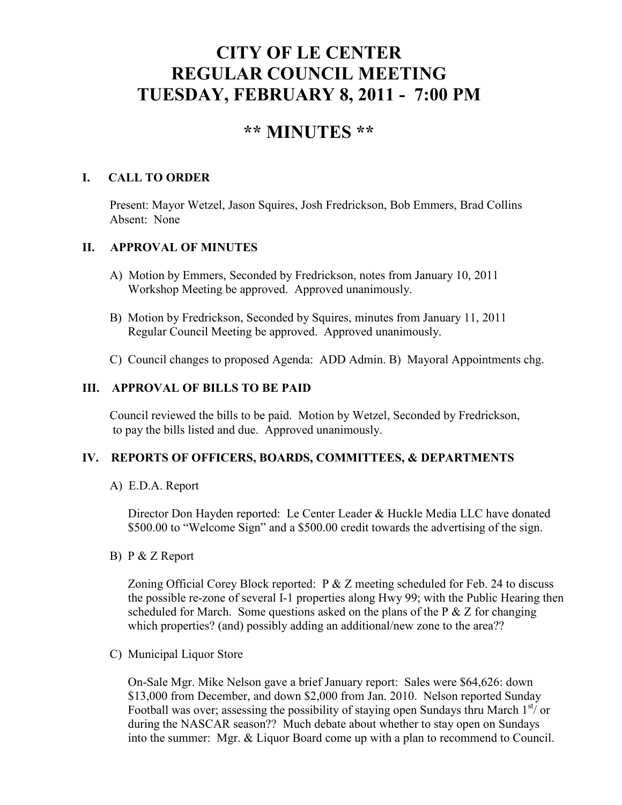# **CITY OF LE CENTER REGULAR COUNCIL MEETING TUESDAY, FEBRUARY 8, 2011 - 7:00 PM**

## **\*\* MINUTES \*\***

## **I. CALL TO ORDER**

Present: Mayor Wetzel, Jason Squires, Josh Fredrickson, Bob Emmers, Brad Collins Absent: None

## **II. APPROVAL OF MINUTES**

- A) Motion by Emmers, Seconded by Fredrickson, notes from January 10, 2011 Workshop Meeting be approved. Approved unanimously.
- B) Motion by Fredrickson, Seconded by Squires, minutes from January 11, 2011 Regular Council Meeting be approved. Approved unanimously.
- C) Council changes to proposed Agenda: ADD Admin. B) Mayoral Appointments chg.

## **III. APPROVAL OF BILLS TO BE PAID**

Council reviewed the bills to be paid. Motion by Wetzel, Seconded by Fredrickson, to pay the bills listed and due. Approved unanimously.

## **IV. REPORTS OF OFFICERS, BOARDS, COMMITTEES, & DEPARTMENTS**

A) E.D.A. Report

 Director Don Hayden reported: Le Center Leader & Huckle Media LLC have donated \$500.00 to "Welcome Sign" and a \$500.00 credit towards the advertising of the sign.

B) P & Z Report

Zoning Official Corey Block reported:  $P \& Z$  meeting scheduled for Feb. 24 to discuss the possible re-zone of several I-1 properties along Hwy 99; with the Public Hearing then scheduled for March. Some questions asked on the plans of the  $P \& Z$  for changing which properties? (and) possibly adding an additional/new zone to the area??

C) Municipal Liquor Store

On-Sale Mgr. Mike Nelson gave a brief January report: Sales were \$64,626: down \$13,000 from December, and down \$2,000 from Jan. 2010. Nelson reported Sunday Football was over; assessing the possibility of staying open Sundays thru March  $1<sup>st</sup>$  or during the NASCAR season?? Much debate about whether to stay open on Sundays into the summer: Mgr. & Liquor Board come up with a plan to recommend to Council.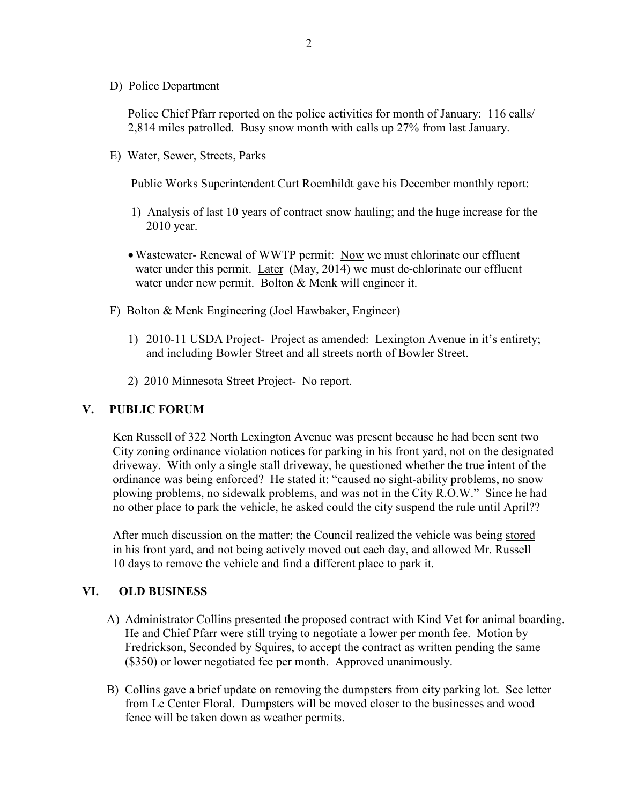D) Police Department

Police Chief Pfarr reported on the police activities for month of January: 116 calls/ 2,814 miles patrolled. Busy snow month with calls up 27% from last January.

E) Water, Sewer, Streets, Parks

Public Works Superintendent Curt Roemhildt gave his December monthly report:

- 1) Analysis of last 10 years of contract snow hauling; and the huge increase for the 2010 year.
- Wastewater- Renewal of WWTP permit: Now we must chlorinate our effluent water under this permit. Later (May, 2014) we must de-chlorinate our effluent water under new permit. Bolton & Menk will engineer it.
- F) Bolton & Menk Engineering (Joel Hawbaker, Engineer)
	- 1) 2010-11 USDA Project- Project as amended: Lexington Avenue in it's entirety; and including Bowler Street and all streets north of Bowler Street.
	- 2) 2010 Minnesota Street Project- No report.

#### **V. PUBLIC FORUM**

 Ken Russell of 322 North Lexington Avenue was present because he had been sent two City zoning ordinance violation notices for parking in his front yard, not on the designated driveway. With only a single stall driveway, he questioned whether the true intent of the ordinance was being enforced? He stated it: "caused no sight-ability problems, no snow plowing problems, no sidewalk problems, and was not in the City R.O.W." Since he had no other place to park the vehicle, he asked could the city suspend the rule until April??

 After much discussion on the matter; the Council realized the vehicle was being stored in his front yard, and not being actively moved out each day, and allowed Mr. Russell 10 days to remove the vehicle and find a different place to park it.

#### **VI. OLD BUSINESS**

- A) Administrator Collins presented the proposed contract with Kind Vet for animal boarding. He and Chief Pfarr were still trying to negotiate a lower per month fee. Motion by Fredrickson, Seconded by Squires, to accept the contract as written pending the same (\$350) or lower negotiated fee per month. Approved unanimously.
- B) Collins gave a brief update on removing the dumpsters from city parking lot. See letter from Le Center Floral. Dumpsters will be moved closer to the businesses and wood fence will be taken down as weather permits.